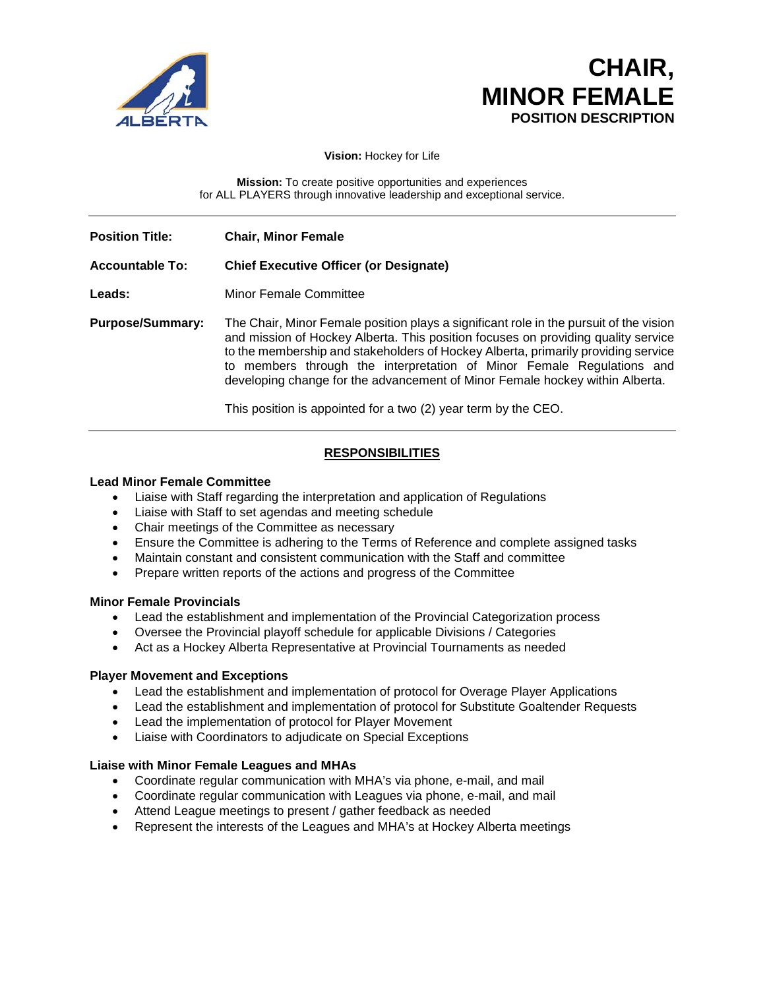

# **CHAIR, MINOR FEMALE**<br>POSITION DESCRIPTION

**Vision:** Hockey for Life

**Mission:** To create positive opportunities and experiences for ALL PLAYERS through innovative leadership and exceptional service.

**Position Title: Chair, Minor Female**

## **Accountable To: Chief Executive Officer (or Designate)**

**Leads:** Minor Female Committee

**Purpose/Summary:** The Chair, Minor Female position plays a significant role in the pursuit of the vision and mission of Hockey Alberta. This position focuses on providing quality service to the membership and stakeholders of Hockey Alberta, primarily providing service to members through the interpretation of Minor Female Regulations and developing change for the advancement of Minor Female hockey within Alberta.

This position is appointed for a two (2) year term by the CEO.

# **RESPONSIBILITIES**

## **Lead Minor Female Committee**

- Liaise with Staff regarding the interpretation and application of Regulations
- Liaise with Staff to set agendas and meeting schedule
- Chair meetings of the Committee as necessary
- Ensure the Committee is adhering to the Terms of Reference and complete assigned tasks
- Maintain constant and consistent communication with the Staff and committee
- Prepare written reports of the actions and progress of the Committee

#### **Minor Female Provincials**

- Lead the establishment and implementation of the Provincial Categorization process
- Oversee the Provincial playoff schedule for applicable Divisions / Categories
- Act as a Hockey Alberta Representative at Provincial Tournaments as needed

## **Player Movement and Exceptions**

- Lead the establishment and implementation of protocol for Overage Player Applications
- Lead the establishment and implementation of protocol for Substitute Goaltender Requests
- Lead the implementation of protocol for Player Movement
- Liaise with Coordinators to adjudicate on Special Exceptions

#### **Liaise with Minor Female Leagues and MHAs**

- Coordinate regular communication with MHA's via phone, e-mail, and mail
- Coordinate regular communication with Leagues via phone, e-mail, and mail
- Attend League meetings to present / gather feedback as needed
- Represent the interests of the Leagues and MHA's at Hockey Alberta meetings